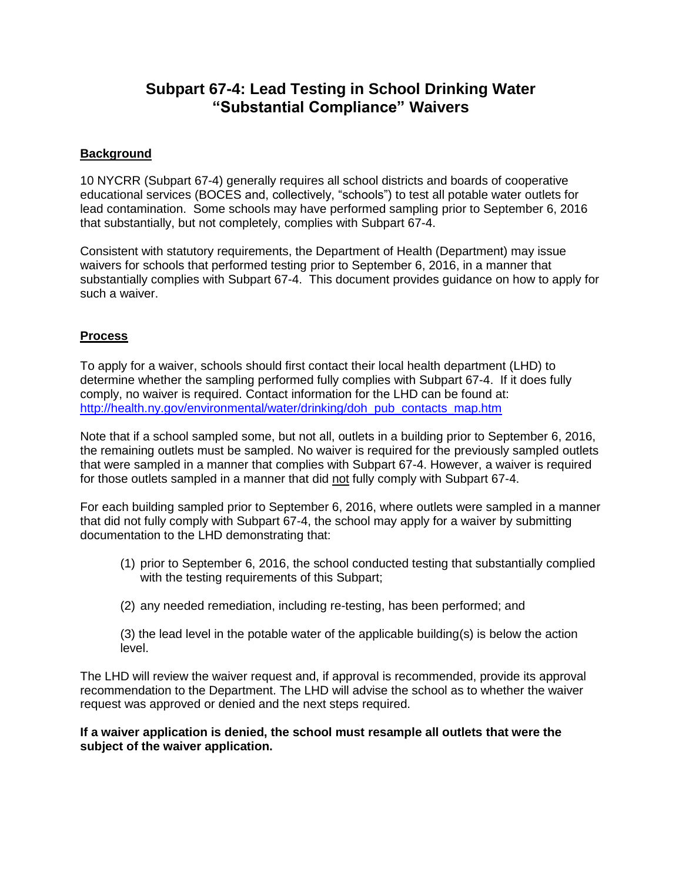# **Subpart 67-4: Lead Testing in School Drinking Water "Substantial Compliance" Waivers**

## **Background**

10 NYCRR (Subpart 67-4) generally requires all school districts and boards of cooperative educational services (BOCES and, collectively, "schools") to test all potable water outlets for lead contamination. Some schools may have performed sampling prior to September 6, 2016 that substantially, but not completely, complies with Subpart 67-4.

Consistent with statutory requirements, the Department of Health (Department) may issue waivers for schools that performed testing prior to September 6, 2016, in a manner that substantially complies with Subpart 67-4. This document provides guidance on how to apply for such a waiver.

### **Process**

To apply for a waiver, schools should first contact their local health department (LHD) to determine whether the sampling performed fully complies with Subpart 67-4. If it does fully comply, no waiver is required. Contact information for the LHD can be found at: [http://health.ny.gov/environmental/water/drinking/doh\\_pub\\_contacts\\_map.htm](http://health.ny.gov/environmental/water/drinking/doh_pub_contacts_map.htm)

Note that if a school sampled some, but not all, outlets in a building prior to September 6, 2016, the remaining outlets must be sampled. No waiver is required for the previously sampled outlets that were sampled in a manner that complies with Subpart 67-4. However, a waiver is required for those outlets sampled in a manner that did not fully comply with Subpart 67-4.

For each building sampled prior to September 6, 2016, where outlets were sampled in a manner that did not fully comply with Subpart 67-4, the school may apply for a waiver by submitting documentation to the LHD demonstrating that:

- (1) prior to September 6, 2016, the school conducted testing that substantially complied with the testing requirements of this Subpart;
- (2) any needed remediation, including re-testing, has been performed; and

(3) the lead level in the potable water of the applicable building(s) is below the action level.

The LHD will review the waiver request and, if approval is recommended, provide its approval recommendation to the Department. The LHD will advise the school as to whether the waiver request was approved or denied and the next steps required.

#### **If a waiver application is denied, the school must resample all outlets that were the subject of the waiver application.**